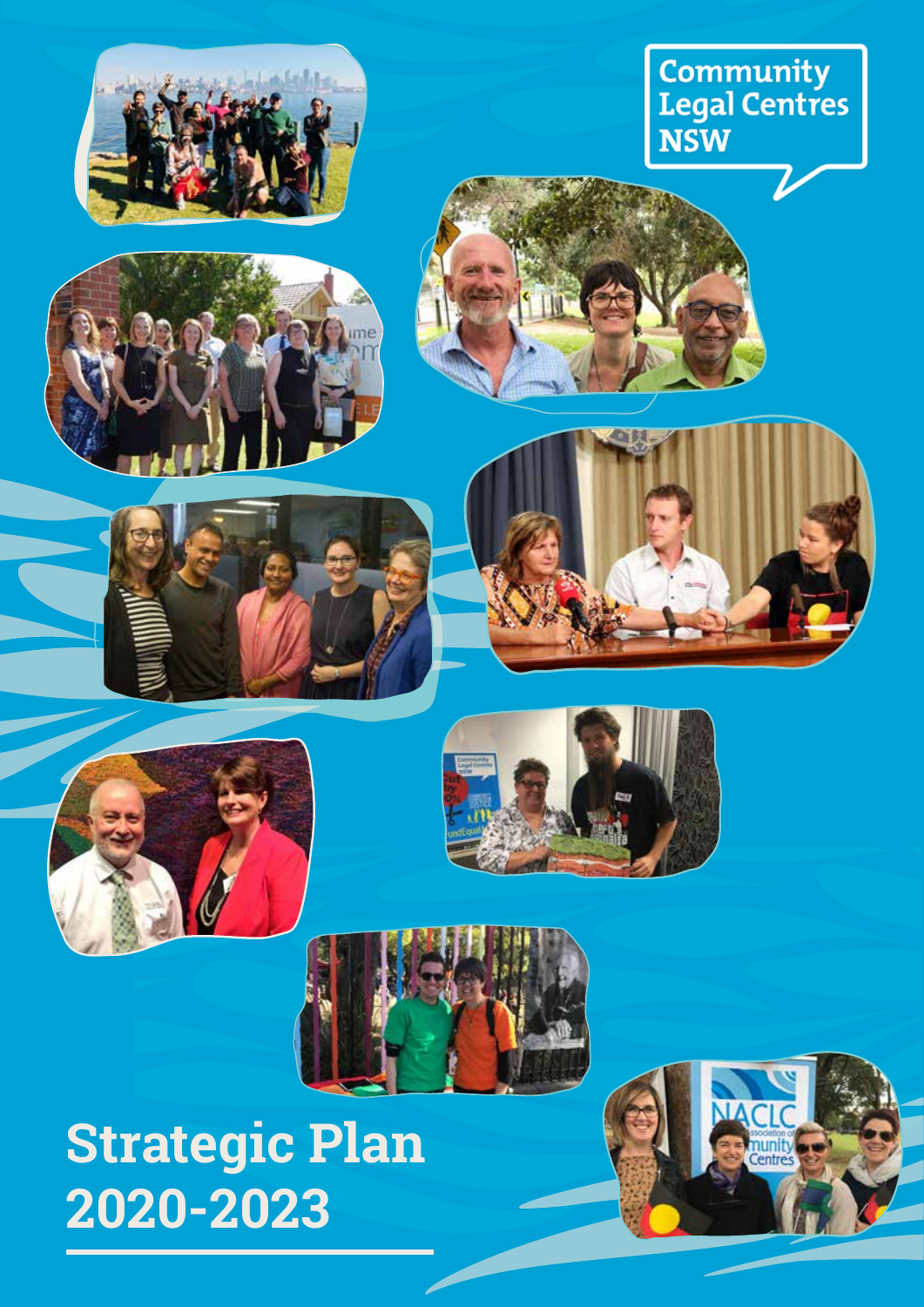

# Community<br>Legal Centres<br>NSW











# **Strategic Plan 2020-2023**

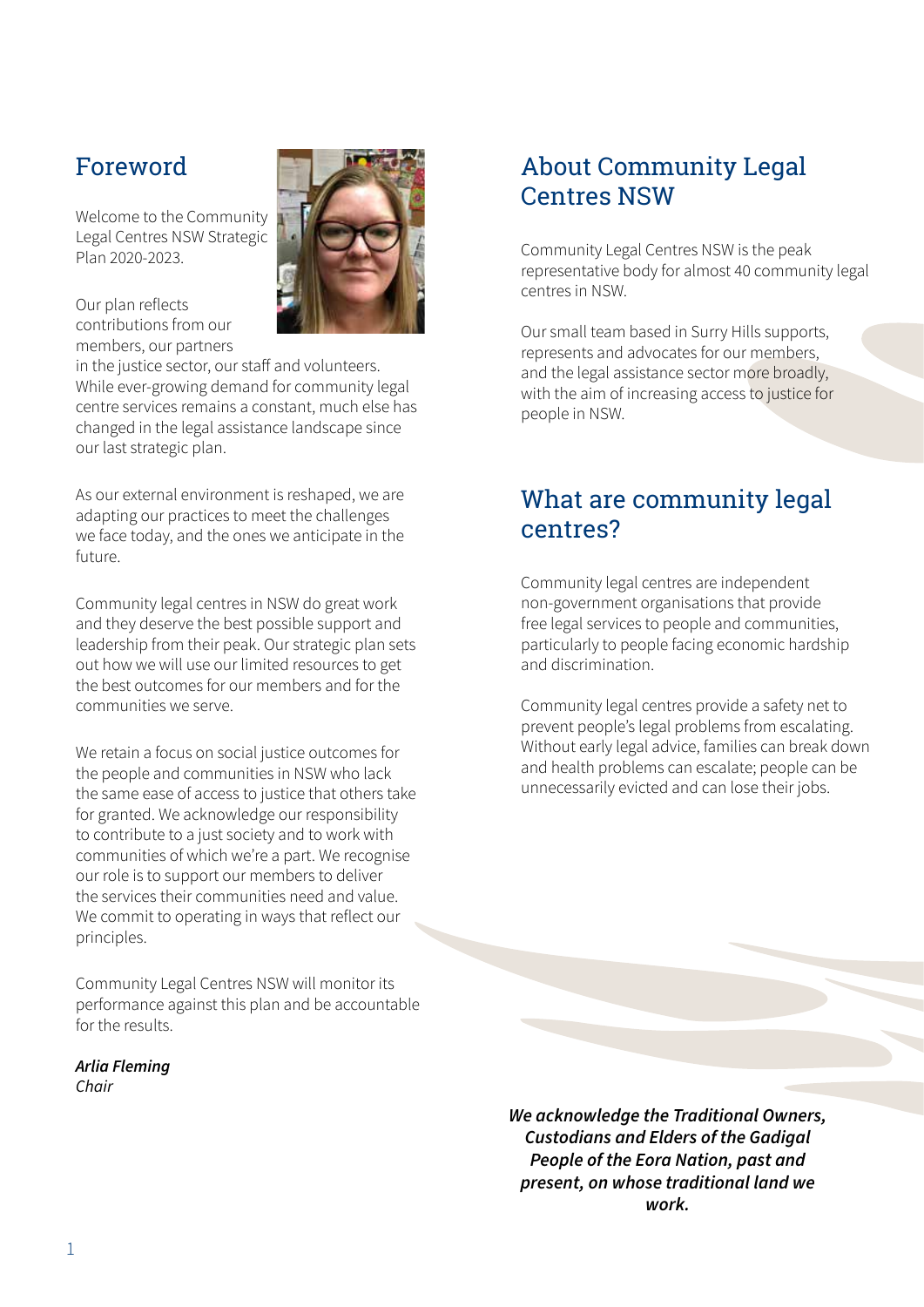# Foreword

Welcome to the Community Legal Centres NSW Strategic Plan 2020-2023.



Our plan reflects contributions from our members, our partners

in the justice sector, our staff and volunteers. While ever-growing demand for community legal centre services remains a constant, much else has changed in the legal assistance landscape since our last strategic plan.

As our external environment is reshaped, we are adapting our practices to meet the challenges we face today, and the ones we anticipate in the future.

Community legal centres in NSW do great work and they deserve the best possible support and leadership from their peak. Our strategic plan sets out how we will use our limited resources to get the best outcomes for our members and for the communities we serve.

We retain a focus on social justice outcomes for the people and communities in NSW who lack the same ease of access to justice that others take for granted. We acknowledge our responsibility to contribute to a just society and to work with communities of which we're a part. We recognise our role is to support our members to deliver the services their communities need and value. We commit to operating in ways that reflect our principles.

Community Legal Centres NSW will monitor its performance against this plan and be accountable for the results.

*Arlia Fleming Chair*

# About Community Legal Centres NSW

Community Legal Centres NSW is the peak representative body for almost 40 community legal centres in NSW.

Our small team based in Surry Hills supports, represents and advocates for our members, and the legal assistance sector more broadly, with the aim of increasing access to justice for people in NSW.

# What are community legal centres?

Community legal centres are independent non-government organisations that provide free legal services to people and communities, particularly to people facing economic hardship and discrimination.

Community legal centres provide a safety net to prevent people's legal problems from escalating. Without early legal advice, families can break down and health problems can escalate; people can be unnecessarily evicted and can lose their jobs.

*We acknowledge the Traditional Owners, Custodians and Elders of the Gadigal People of the Eora Nation, past and present, on whose traditional land we work.*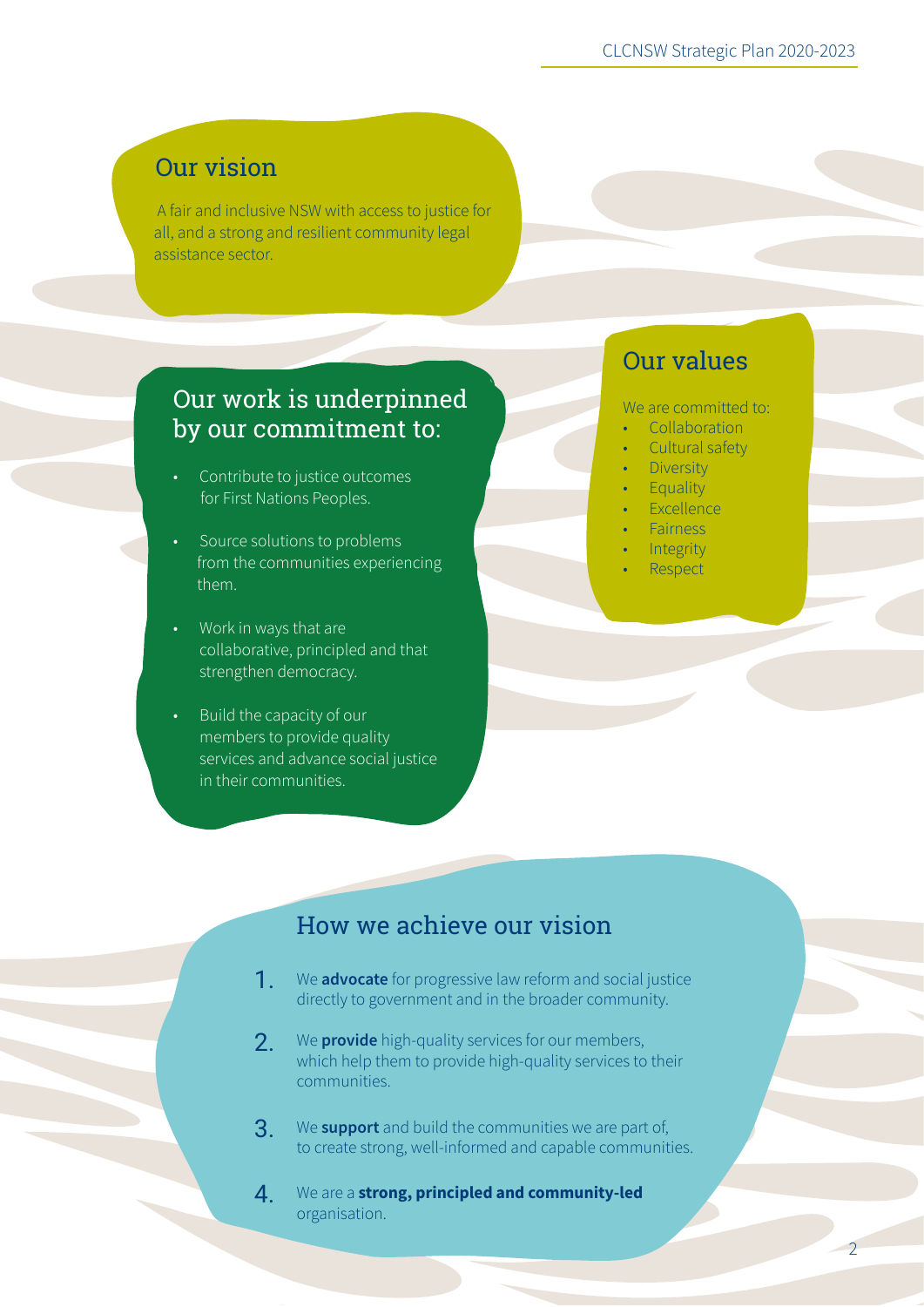# Our vision

 A fair and inclusive NSW with access to justice for all, and a strong and resilient community legal assistance sector.

### Our work is underpinned by our commitment to:

- Contribute to justice outcomes for First Nations Peoples.
- Source solutions to problems from the communities experiencing them.
- Work in ways that are collaborative, principled and that strengthen democracy.
- Build the capacity of our members to provide quality services and advance social justice in their communities.

# Our values

We are committed to:

- Collaboration
- Cultural safety
- Diversity
- Equality
- Excellence
- Fairness
- **Integrity**
- Respect

 $\overline{2}$ 

# How we achieve our vision

- We **advocate** for progressive law reform and social justice directly to government and in the broader community. 1.
- We **provide** high-quality services for our members, which help them to provide high-quality services to their communities. 2.
- We **support** and build the communities we are part of, to create strong, well-informed and capable communities. 3.
- We are a **strong, principled and community-led**  organisation. 4.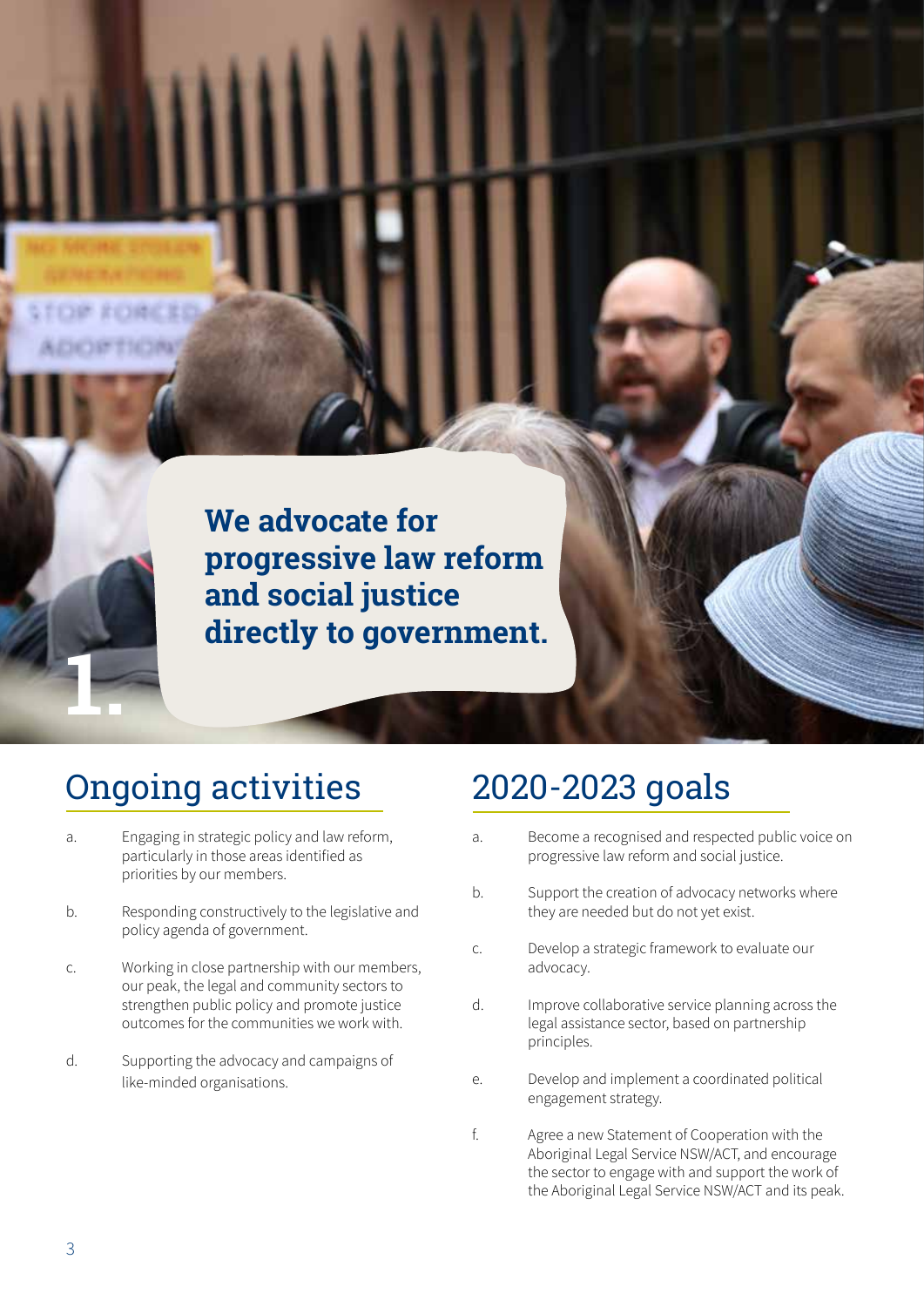**We advocate for progressive law reform and social justice directly to government.**

# Ongoing activities 2020-2023 goals

- a. Engaging in strategic policy and law reform, particularly in those areas identified as priorities by our members.
- b. Responding constructively to the legislative and policy agenda of government.
- c. Working in close partnership with our members, our peak, the legal and community sectors to strengthen public policy and promote justice outcomes for the communities we work with.
- d. Supporting the advocacy and campaigns of like-minded organisations.

- a. Become a recognised and respected public voice on progressive law reform and social justice.
- b. Support the creation of advocacy networks where they are needed but do not yet exist.
- c. Develop a strategic framework to evaluate our advocacy.
- d. Improve collaborative service planning across the legal assistance sector, based on partnership principles.
- e. Develop and implement a coordinated political engagement strategy.
- f. Agree a new Statement of Cooperation with the Aboriginal Legal Service NSW/ACT, and encourage the sector to engage with and support the work of the Aboriginal Legal Service NSW/ACT and its peak.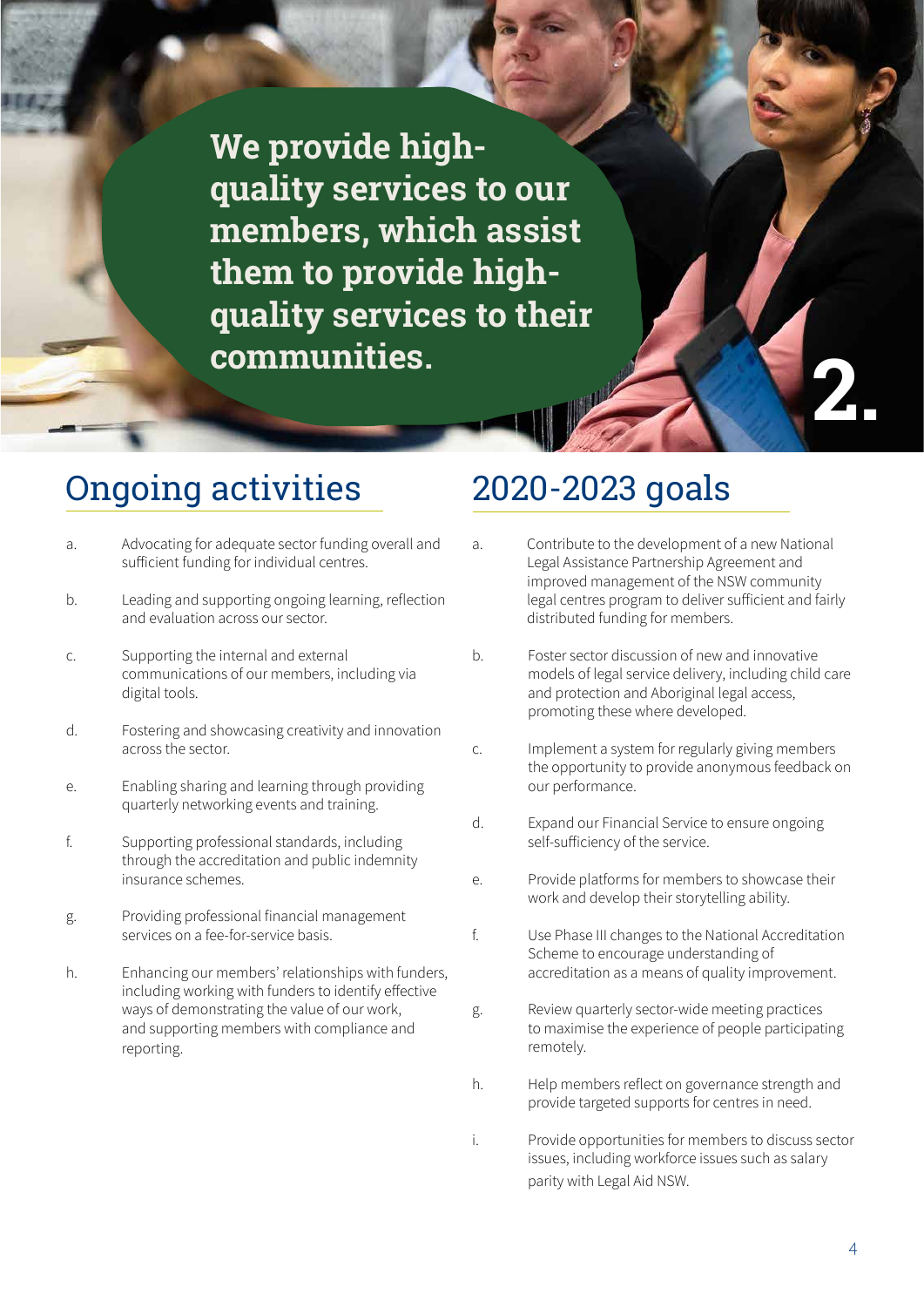**We provide highquality services to our members, which assist them to provide highquality services to their communities.**

# Ongoing activities 2020-2023 goals

- a. Advocating for adequate sector funding overall and sufficient funding for individual centres.
- b. Leading and supporting ongoing learning, reflection and evaluation across our sector.
- c. Supporting the internal and external communications of our members, including via digital tools.
- d. Fostering and showcasing creativity and innovation across the sector.
- e. Enabling sharing and learning through providing quarterly networking events and training.
- f. Supporting professional standards, including through the accreditation and public indemnity insurance schemes.
- g. Providing professional financial management services on a fee-for-service basis.
- h. Enhancing our members' relationships with funders, including working with funders to identify effective ways of demonstrating the value of our work, and supporting members with compliance and reporting.

- a. Contribute to the development of a new National Legal Assistance Partnership Agreement and improved management of the NSW community legal centres program to deliver sufficient and fairly distributed funding for members.
- b. Foster sector discussion of new and innovative models of legal service delivery, including child care and protection and Aboriginal legal access, promoting these where developed.
- c. Implement a system for regularly giving members the opportunity to provide anonymous feedback on our performance.
- d. Expand our Financial Service to ensure ongoing self-sufficiency of the service.
- e. Provide platforms for members to showcase their work and develop their storytelling ability.
- f. Use Phase III changes to the National Accreditation Scheme to encourage understanding of accreditation as a means of quality improvement.
- g. Review quarterly sector-wide meeting practices to maximise the experience of people participating remotely.
- h. Help members reflect on governance strength and provide targeted supports for centres in need.
- i. Provide opportunities for members to discuss sector issues, including workforce issues such as salary parity with Legal Aid NSW.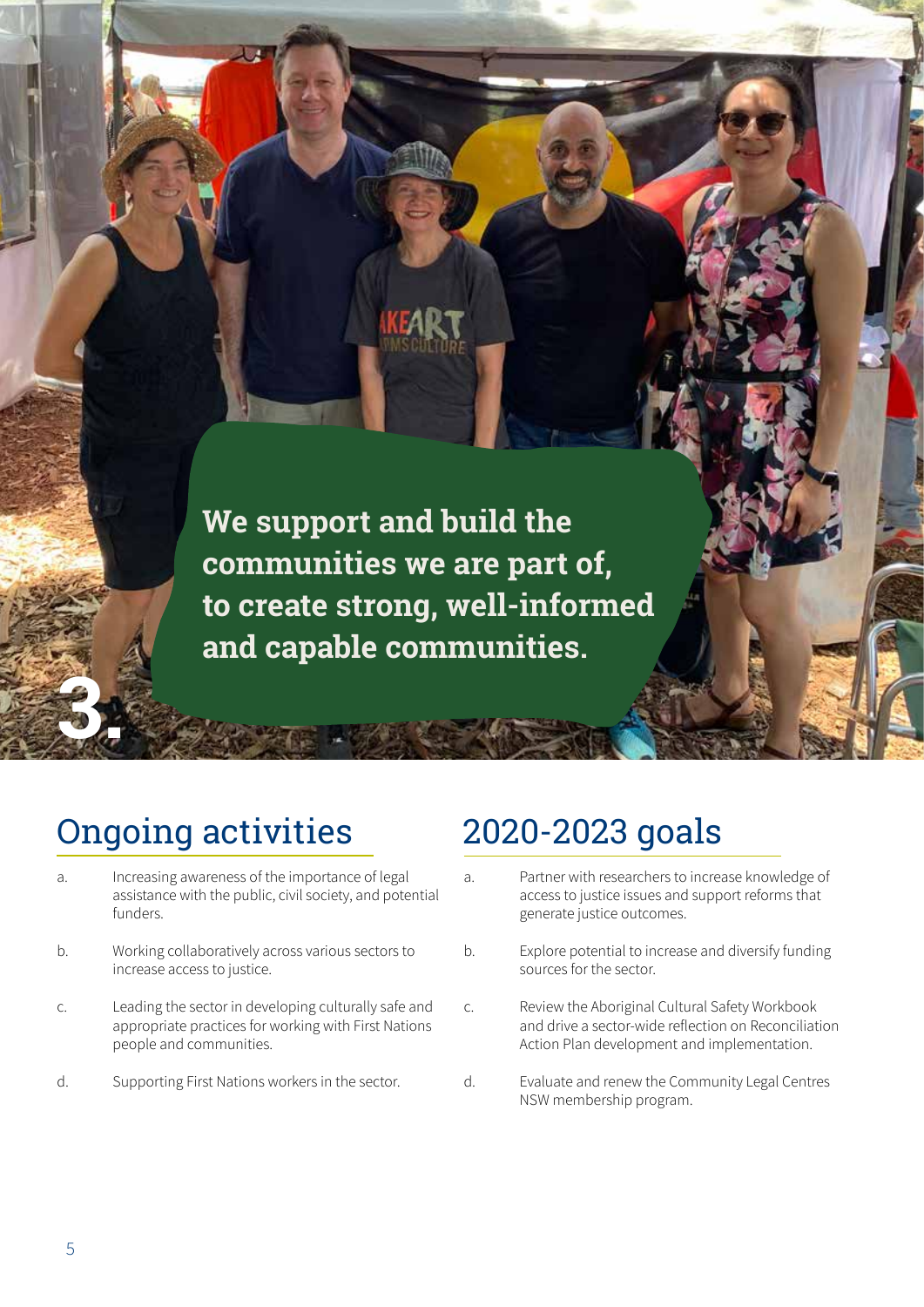**We support and build the communities we are part of, to create strong, well-informed and capable communities.**

# Ongoing activities 2020-2023 goals

- a. Increasing awareness of the importance of legal assistance with the public, civil society, and potential funders.
- b. Working collaboratively across various sectors to increase access to justice.
- c. Leading the sector in developing culturally safe and appropriate practices for working with First Nations people and communities.
- d. Supporting First Nations workers in the sector.

a. Partner with researchers to increase knowledge of access to justice issues and support reforms that generate justice outcomes.

Class Strategic Plan 2020-2023

- b. Explore potential to increase and diversify funding sources for the sector.
- c. Review the Aboriginal Cultural Safety Workbook and drive a sector-wide reflection on Reconciliation Action Plan development and implementation.
- d. Evaluate and renew the Community Legal Centres NSW membership program.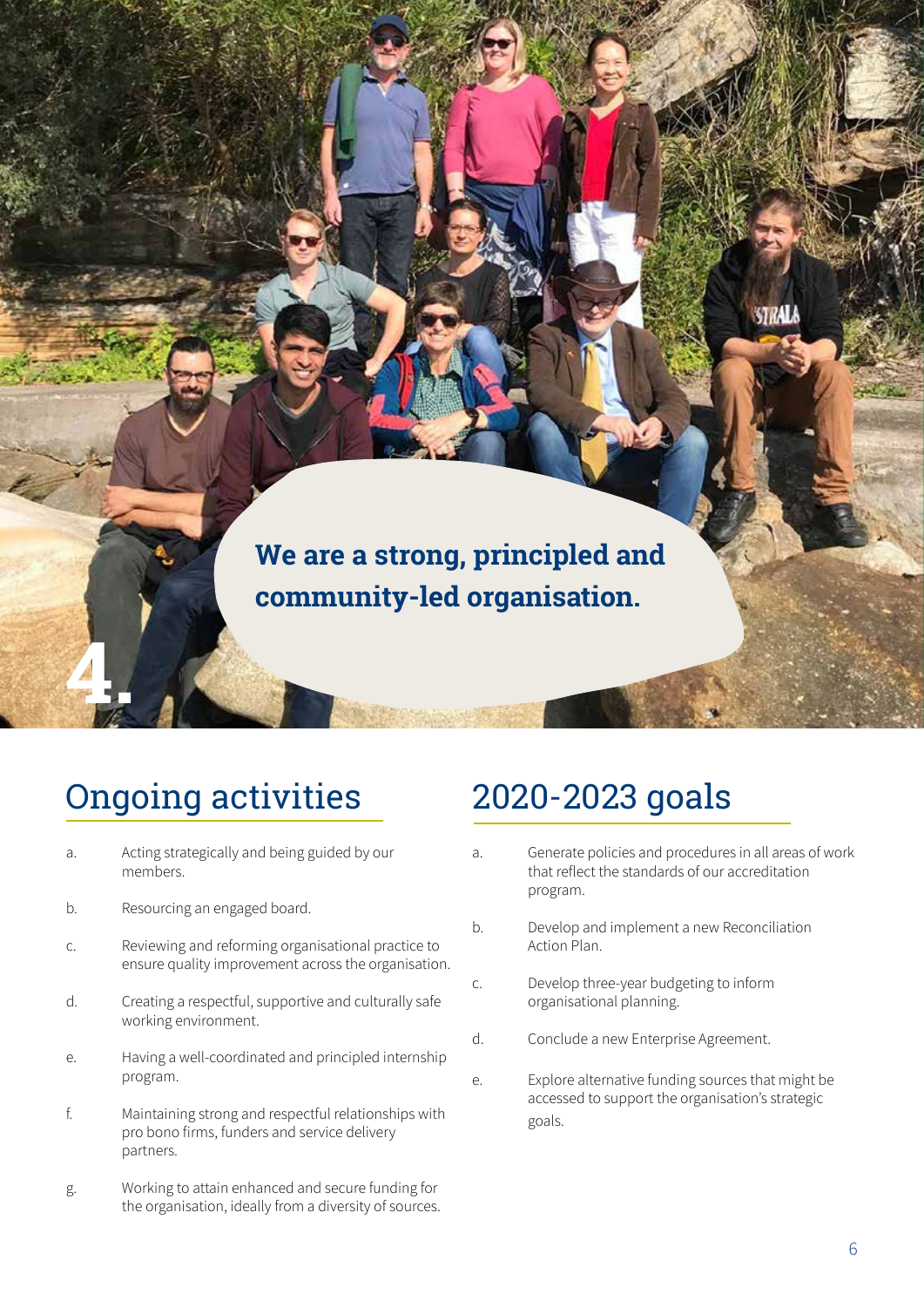# **We are a strong, principled and community-led organisation.**

# Ongoing activities 2020-2023 goals

- a. Acting strategically and being guided by our members.
- b. Resourcing an engaged board.

- c. Reviewing and reforming organisational practice to ensure quality improvement across the organisation.
- d. Creating a respectful, supportive and culturally safe working environment.
- e. Having a well-coordinated and principled internship program.
- f. Maintaining strong and respectful relationships with pro bono firms, funders and service delivery partners.
- g. Working to attain enhanced and secure funding for the organisation, ideally from a diversity of sources.

- a. Generate policies and procedures in all areas of work that reflect the standards of our accreditation program.
- b. Develop and implement a new Reconciliation Action Plan.
- c. Develop three-year budgeting to inform organisational planning.
- d. Conclude a new Enterprise Agreement.
- e. Explore alternative funding sources that might be accessed to support the organisation's strategic goals.